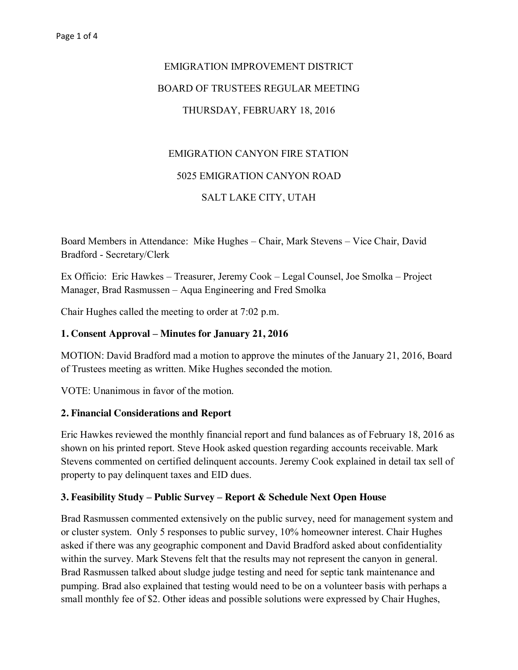# EMIGRATION IMPROVEMENT DISTRICT BOARD OF TRUSTEES REGULAR MEETING THURSDAY, FEBRUARY 18, 2016

### EMIGRATION CANYON FIRE STATION

#### 5025 EMIGRATION CANYON ROAD

#### SALT LAKE CITY, UTAH

Board Members in Attendance: Mike Hughes – Chair, Mark Stevens – Vice Chair, David Bradford - Secretary/Clerk

Ex Officio: Eric Hawkes – Treasurer, Jeremy Cook – Legal Counsel, Joe Smolka – Project Manager, Brad Rasmussen – Aqua Engineering and Fred Smolka

Chair Hughes called the meeting to order at 7:02 p.m.

#### **1. Consent Approval – Minutes for January 21, 2016**

MOTION: David Bradford mad a motion to approve the minutes of the January 21, 2016, Board of Trustees meeting as written. Mike Hughes seconded the motion.

VOTE: Unanimous in favor of the motion.

#### **2. Financial Considerations and Report**

Eric Hawkes reviewed the monthly financial report and fund balances as of February 18, 2016 as shown on his printed report. Steve Hook asked question regarding accounts receivable. Mark Stevens commented on certified delinquent accounts. Jeremy Cook explained in detail tax sell of property to pay delinquent taxes and EID dues.

#### **3. Feasibility Study – Public Survey – Report & Schedule Next Open House**

Brad Rasmussen commented extensively on the public survey, need for management system and or cluster system. Only 5 responses to public survey, 10% homeowner interest. Chair Hughes asked if there was any geographic component and David Bradford asked about confidentiality within the survey. Mark Stevens felt that the results may not represent the canyon in general. Brad Rasmussen talked about sludge judge testing and need for septic tank maintenance and pumping. Brad also explained that testing would need to be on a volunteer basis with perhaps a small monthly fee of \$2. Other ideas and possible solutions were expressed by Chair Hughes,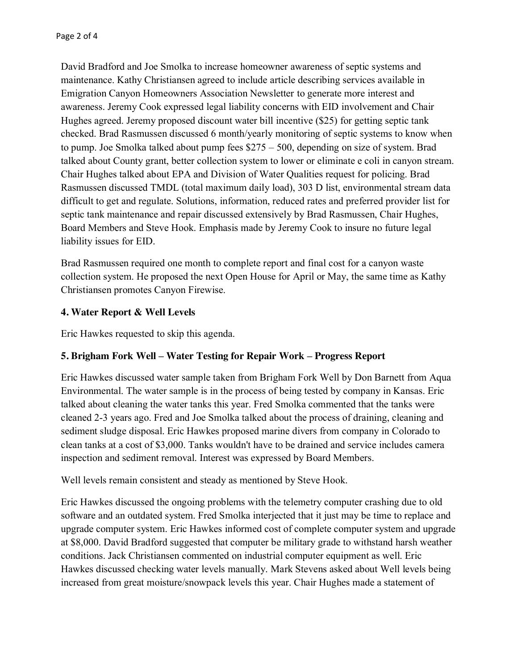David Bradford and Joe Smolka to increase homeowner awareness of septic systems and maintenance. Kathy Christiansen agreed to include article describing services available in Emigration Canyon Homeowners Association Newsletter to generate more interest and awareness. Jeremy Cook expressed legal liability concerns with EID involvement and Chair Hughes agreed. Jeremy proposed discount water bill incentive (\$25) for getting septic tank checked. Brad Rasmussen discussed 6 month/yearly monitoring of septic systems to know when to pump. Joe Smolka talked about pump fees \$275 – 500, depending on size of system. Brad talked about County grant, better collection system to lower or eliminate e coli in canyon stream. Chair Hughes talked about EPA and Division of Water Qualities request for policing. Brad Rasmussen discussed TMDL (total maximum daily load), 303 D list, environmental stream data difficult to get and regulate. Solutions, information, reduced rates and preferred provider list for septic tank maintenance and repair discussed extensively by Brad Rasmussen, Chair Hughes, Board Members and Steve Hook. Emphasis made by Jeremy Cook to insure no future legal liability issues for EID.

Brad Rasmussen required one month to complete report and final cost for a canyon waste collection system. He proposed the next Open House for April or May, the same time as Kathy Christiansen promotes Canyon Firewise.

## **4. Water Report & Well Levels**

Eric Hawkes requested to skip this agenda.

## **5. Brigham Fork Well – Water Testing for Repair Work – Progress Report**

Eric Hawkes discussed water sample taken from Brigham Fork Well by Don Barnett from Aqua Environmental. The water sample is in the process of being tested by company in Kansas. Eric talked about cleaning the water tanks this year. Fred Smolka commented that the tanks were cleaned 2-3 years ago. Fred and Joe Smolka talked about the process of draining, cleaning and sediment sludge disposal. Eric Hawkes proposed marine divers from company in Colorado to clean tanks at a cost of \$3,000. Tanks wouldn't have to be drained and service includes camera inspection and sediment removal. Interest was expressed by Board Members.

Well levels remain consistent and steady as mentioned by Steve Hook.

Eric Hawkes discussed the ongoing problems with the telemetry computer crashing due to old software and an outdated system. Fred Smolka interjected that it just may be time to replace and upgrade computer system. Eric Hawkes informed cost of complete computer system and upgrade at \$8,000. David Bradford suggested that computer be military grade to withstand harsh weather conditions. Jack Christiansen commented on industrial computer equipment as well. Eric Hawkes discussed checking water levels manually. Mark Stevens asked about Well levels being increased from great moisture/snowpack levels this year. Chair Hughes made a statement of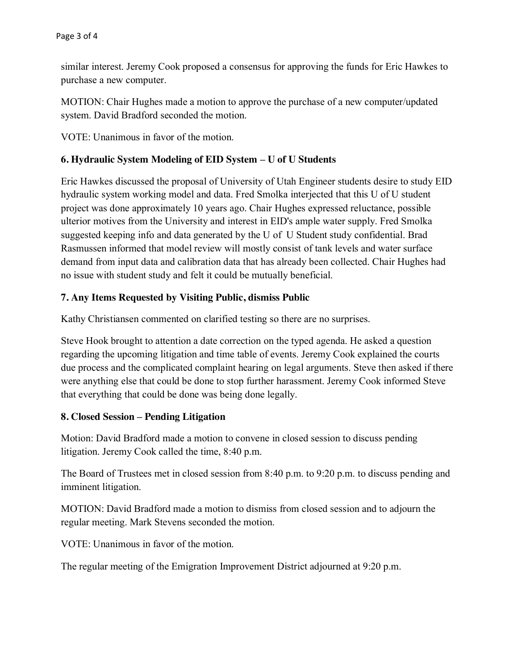similar interest. Jeremy Cook proposed a consensus for approving the funds for Eric Hawkes to purchase a new computer.

MOTION: Chair Hughes made a motion to approve the purchase of a new computer/updated system. David Bradford seconded the motion.

VOTE: Unanimous in favor of the motion.

## **6. Hydraulic System Modeling of EID System – U of U Students**

Eric Hawkes discussed the proposal of University of Utah Engineer students desire to study EID hydraulic system working model and data. Fred Smolka interjected that this U of U student project was done approximately 10 years ago. Chair Hughes expressed reluctance, possible ulterior motives from the University and interest in EID's ample water supply. Fred Smolka suggested keeping info and data generated by the U of U Student study confidential. Brad Rasmussen informed that model review will mostly consist of tank levels and water surface demand from input data and calibration data that has already been collected. Chair Hughes had no issue with student study and felt it could be mutually beneficial.

## **7. Any Items Requested by Visiting Public, dismiss Public**

Kathy Christiansen commented on clarified testing so there are no surprises.

Steve Hook brought to attention a date correction on the typed agenda. He asked a question regarding the upcoming litigation and time table of events. Jeremy Cook explained the courts due process and the complicated complaint hearing on legal arguments. Steve then asked if there were anything else that could be done to stop further harassment. Jeremy Cook informed Steve that everything that could be done was being done legally.

#### **8. Closed Session – Pending Litigation**

Motion: David Bradford made a motion to convene in closed session to discuss pending litigation. Jeremy Cook called the time, 8:40 p.m.

The Board of Trustees met in closed session from 8:40 p.m. to 9:20 p.m. to discuss pending and imminent litigation.

MOTION: David Bradford made a motion to dismiss from closed session and to adjourn the regular meeting. Mark Stevens seconded the motion.

VOTE: Unanimous in favor of the motion.

The regular meeting of the Emigration Improvement District adjourned at 9:20 p.m.